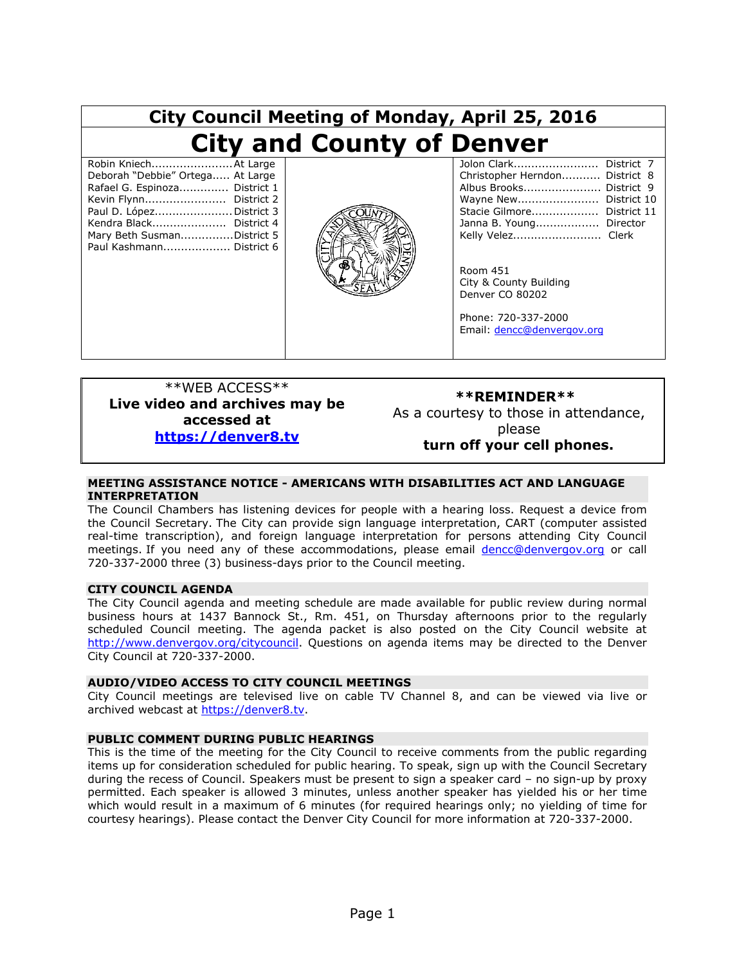| City Council Meeting of Monday, April 25, 2016                                                                                                                                                                                       |  |                                                                                                                                                                                                                                                                                                             |
|--------------------------------------------------------------------------------------------------------------------------------------------------------------------------------------------------------------------------------------|--|-------------------------------------------------------------------------------------------------------------------------------------------------------------------------------------------------------------------------------------------------------------------------------------------------------------|
| <b>City and County of Denver</b>                                                                                                                                                                                                     |  |                                                                                                                                                                                                                                                                                                             |
| Robin KniechAt Large<br>Deborah "Debbie" Ortega At Large<br>Rafael G. Espinoza District 1<br>Kevin Flynn District 2<br>Paul D. López District 3<br>Kendra Black District 4<br>Mary Beth SusmanDistrict 5<br>Paul Kashmann District 6 |  | Jolon Clark<br>District 7<br>Christopher Herndon District 8<br>Albus Brooks District 9<br>Wayne New District 10<br>Stacie Gilmore District 11<br>Janna B. Young Director<br>Kelly Velez Clerk<br>Room 451<br>City & County Building<br>Denver CO 80202<br>Phone: 720-337-2000<br>Email: dencc@denvergov.org |

#### \*\*WEB ACCESS\*\* **Live video and archives may be accessed at [https://denver8.tv](https://denver8.tv/)**

**\*\*REMINDER\*\***

As a courtesy to those in attendance, please **turn off your cell phones.**

#### **MEETING ASSISTANCE NOTICE - AMERICANS WITH DISABILITIES ACT AND LANGUAGE INTERPRETATION**

The Council Chambers has listening devices for people with a hearing loss. Request a device from the Council Secretary. The City can provide sign language interpretation, CART (computer assisted real-time transcription), and foreign language interpretation for persons attending City Council meetings. If you need any of these accommodations, please email [dencc@denvergov.org](mailto:dencc@denvergov.org) or call 720-337-2000 three (3) business-days prior to the Council meeting.

#### **CITY COUNCIL AGENDA**

The City Council agenda and meeting schedule are made available for public review during normal business hours at 1437 Bannock St., Rm. 451, on Thursday afternoons prior to the regularly scheduled Council meeting. The agenda packet is also posted on the City Council website at [http://www.denvergov.org/citycouncil.](http://www.denvergov.org/citycouncil) Questions on agenda items may be directed to the Denver City Council at 720-337-2000.

#### **AUDIO/VIDEO ACCESS TO CITY COUNCIL MEETINGS**

City Council meetings are televised live on cable TV Channel 8, and can be viewed via live or archived webcast at https://denver8.tv.

#### **PUBLIC COMMENT DURING PUBLIC HEARINGS**

This is the time of the meeting for the City Council to receive comments from the public regarding items up for consideration scheduled for public hearing. To speak, sign up with the Council Secretary during the recess of Council. Speakers must be present to sign a speaker card – no sign-up by proxy permitted. Each speaker is allowed 3 minutes, unless another speaker has yielded his or her time which would result in a maximum of 6 minutes (for required hearings only; no yielding of time for courtesy hearings). Please contact the Denver City Council for more information at 720-337-2000.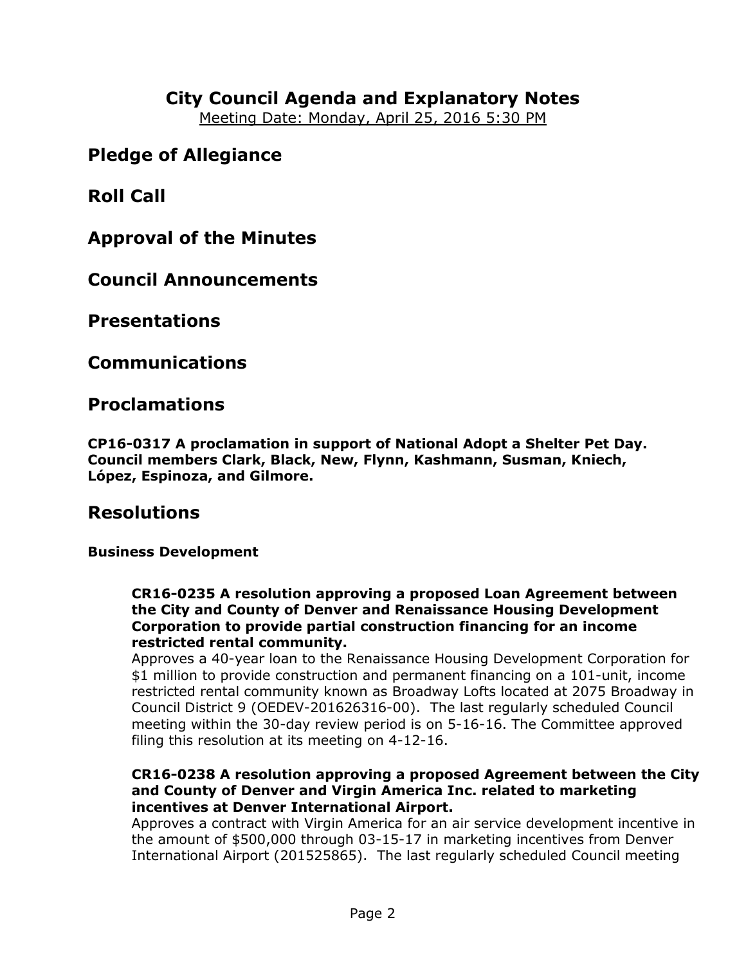# **City Council Agenda and Explanatory Notes**

Meeting Date: Monday, April 25, 2016 5:30 PM

## **Pledge of Allegiance**

**Roll Call**

**Approval of the Minutes**

**Council Announcements**

**Presentations**

**Communications**

### **Proclamations**

**CP16-0317 A proclamation in support of National Adopt a Shelter Pet Day. Council members Clark, Black, New, Flynn, Kashmann, Susman, Kniech, López, Espinoza, and Gilmore.** 

### **Resolutions**

### **Business Development**

#### **CR16-0235 A resolution approving a proposed Loan Agreement between the City and County of Denver and Renaissance Housing Development Corporation to provide partial construction financing for an income restricted rental community.**

Approves a 40-year loan to the Renaissance Housing Development Corporation for \$1 million to provide construction and permanent financing on a 101-unit, income restricted rental community known as Broadway Lofts located at 2075 Broadway in Council District 9 (OEDEV-201626316-00). The last regularly scheduled Council meeting within the 30-day review period is on 5-16-16. The Committee approved filing this resolution at its meeting on 4-12-16.

#### **CR16-0238 A resolution approving a proposed Agreement between the City and County of Denver and Virgin America Inc. related to marketing incentives at Denver International Airport.**

Approves a contract with Virgin America for an air service development incentive in the amount of \$500,000 through 03-15-17 in marketing incentives from Denver International Airport (201525865). The last regularly scheduled Council meeting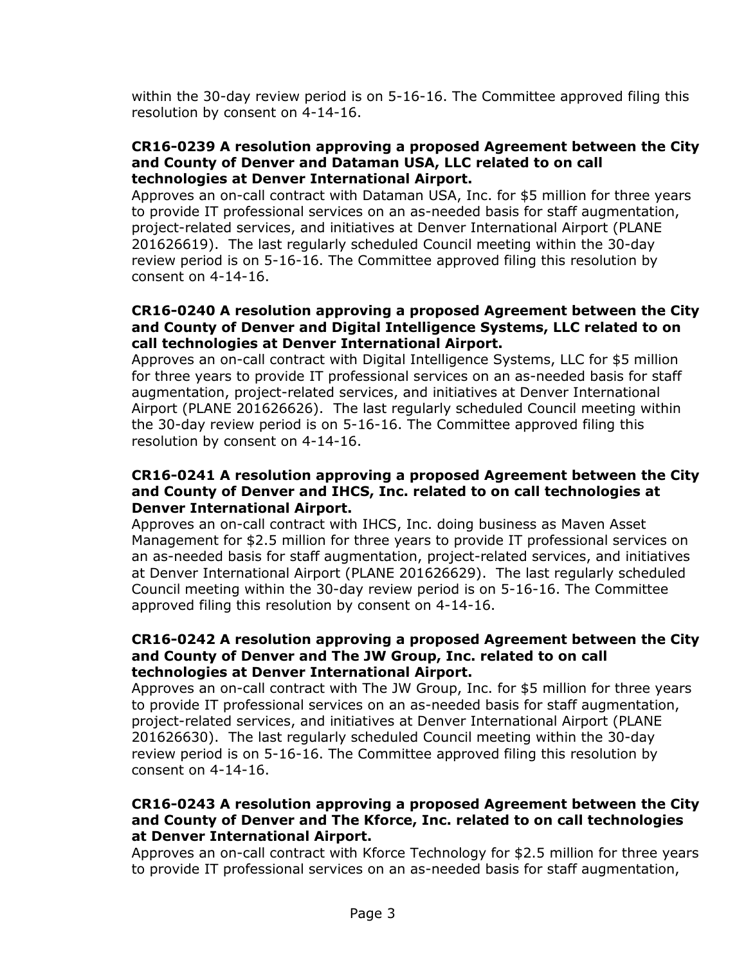within the 30-day review period is on 5-16-16. The Committee approved filing this resolution by consent on 4-14-16.

#### **CR16-0239 A resolution approving a proposed Agreement between the City and County of Denver and Dataman USA, LLC related to on call technologies at Denver International Airport.**

Approves an on-call contract with Dataman USA, Inc. for \$5 million for three years to provide IT professional services on an as-needed basis for staff augmentation, project-related services, and initiatives at Denver International Airport (PLANE 201626619). The last regularly scheduled Council meeting within the 30-day review period is on 5-16-16. The Committee approved filing this resolution by consent on 4-14-16.

#### **CR16-0240 A resolution approving a proposed Agreement between the City and County of Denver and Digital Intelligence Systems, LLC related to on call technologies at Denver International Airport.**

Approves an on-call contract with Digital Intelligence Systems, LLC for \$5 million for three years to provide IT professional services on an as-needed basis for staff augmentation, project-related services, and initiatives at Denver International Airport (PLANE 201626626). The last regularly scheduled Council meeting within the 30-day review period is on 5-16-16. The Committee approved filing this resolution by consent on 4-14-16.

#### **CR16-0241 A resolution approving a proposed Agreement between the City and County of Denver and IHCS, Inc. related to on call technologies at Denver International Airport.**

Approves an on-call contract with IHCS, Inc. doing business as Maven Asset Management for \$2.5 million for three years to provide IT professional services on an as-needed basis for staff augmentation, project-related services, and initiatives at Denver International Airport (PLANE 201626629). The last regularly scheduled Council meeting within the 30-day review period is on 5-16-16. The Committee approved filing this resolution by consent on 4-14-16.

#### **CR16-0242 A resolution approving a proposed Agreement between the City and County of Denver and The JW Group, Inc. related to on call technologies at Denver International Airport.**

Approves an on-call contract with The JW Group, Inc. for \$5 million for three years to provide IT professional services on an as-needed basis for staff augmentation, project-related services, and initiatives at Denver International Airport (PLANE 201626630). The last regularly scheduled Council meeting within the 30-day review period is on 5-16-16. The Committee approved filing this resolution by consent on 4-14-16.

#### **CR16-0243 A resolution approving a proposed Agreement between the City and County of Denver and The Kforce, Inc. related to on call technologies at Denver International Airport.**

Approves an on-call contract with Kforce Technology for \$2.5 million for three years to provide IT professional services on an as-needed basis for staff augmentation,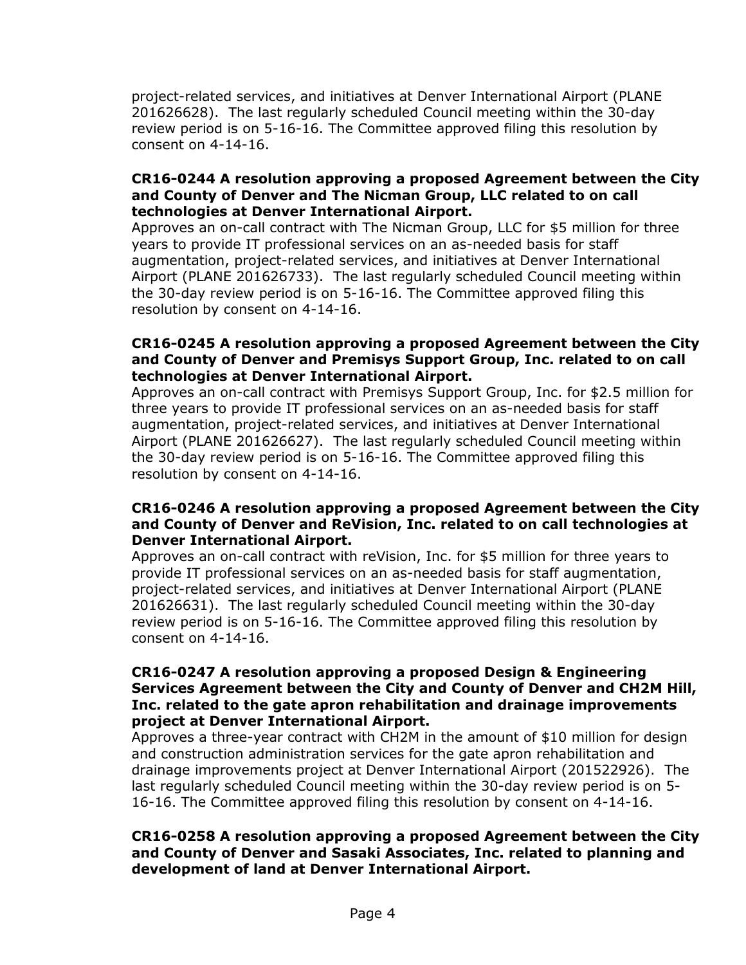project-related services, and initiatives at Denver International Airport (PLANE 201626628). The last regularly scheduled Council meeting within the 30-day review period is on 5-16-16. The Committee approved filing this resolution by consent on 4-14-16.

#### **CR16-0244 A resolution approving a proposed Agreement between the City and County of Denver and The Nicman Group, LLC related to on call technologies at Denver International Airport.**

Approves an on-call contract with The Nicman Group, LLC for \$5 million for three years to provide IT professional services on an as-needed basis for staff augmentation, project-related services, and initiatives at Denver International Airport (PLANE 201626733). The last regularly scheduled Council meeting within the 30-day review period is on 5-16-16. The Committee approved filing this resolution by consent on 4-14-16.

#### **CR16-0245 A resolution approving a proposed Agreement between the City and County of Denver and Premisys Support Group, Inc. related to on call technologies at Denver International Airport.**

Approves an on-call contract with Premisys Support Group, Inc. for \$2.5 million for three years to provide IT professional services on an as-needed basis for staff augmentation, project-related services, and initiatives at Denver International Airport (PLANE 201626627). The last regularly scheduled Council meeting within the 30-day review period is on 5-16-16. The Committee approved filing this resolution by consent on 4-14-16.

#### **CR16-0246 A resolution approving a proposed Agreement between the City and County of Denver and ReVision, Inc. related to on call technologies at Denver International Airport.**

Approves an on-call contract with reVision, Inc. for \$5 million for three years to provide IT professional services on an as-needed basis for staff augmentation, project-related services, and initiatives at Denver International Airport (PLANE 201626631). The last regularly scheduled Council meeting within the 30-day review period is on 5-16-16. The Committee approved filing this resolution by consent on 4-14-16.

#### **CR16-0247 A resolution approving a proposed Design & Engineering Services Agreement between the City and County of Denver and CH2M Hill, Inc. related to the gate apron rehabilitation and drainage improvements project at Denver International Airport.**

Approves a three-year contract with CH2M in the amount of \$10 million for design and construction administration services for the gate apron rehabilitation and drainage improvements project at Denver International Airport (201522926). The last regularly scheduled Council meeting within the 30-day review period is on 5- 16-16. The Committee approved filing this resolution by consent on 4-14-16.

#### **CR16-0258 A resolution approving a proposed Agreement between the City and County of Denver and Sasaki Associates, Inc. related to planning and development of land at Denver International Airport.**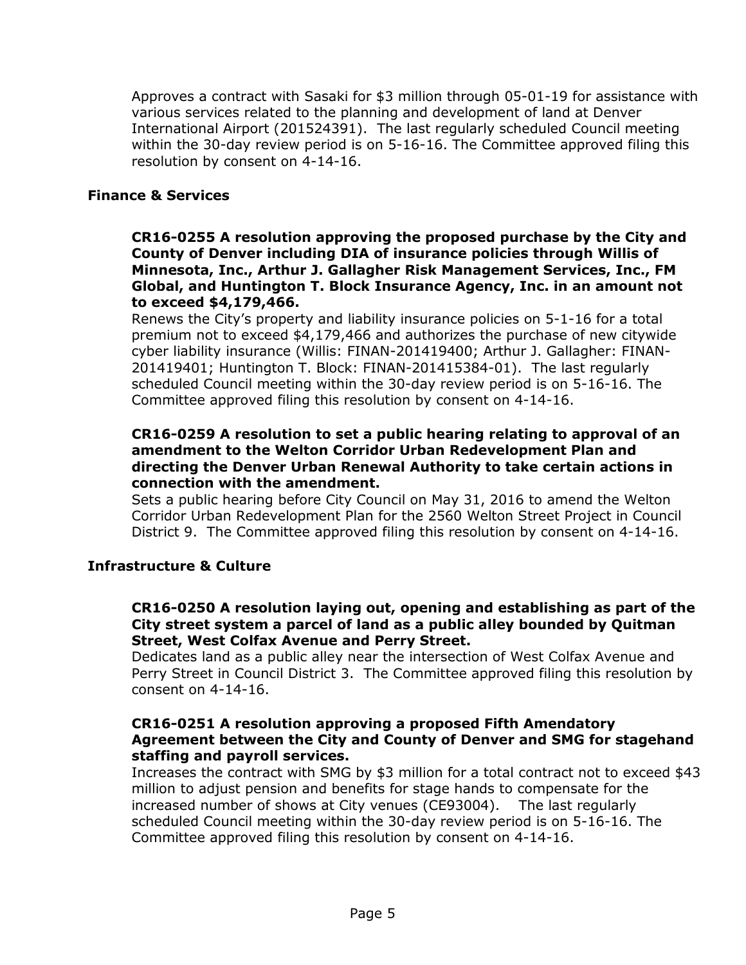Approves a contract with Sasaki for \$3 million through 05-01-19 for assistance with various services related to the planning and development of land at Denver International Airport (201524391). The last regularly scheduled Council meeting within the 30-day review period is on 5-16-16. The Committee approved filing this resolution by consent on 4-14-16.

#### **Finance & Services**

#### **CR16-0255 A resolution approving the proposed purchase by the City and County of Denver including DIA of insurance policies through Willis of Minnesota, Inc., Arthur J. Gallagher Risk Management Services, Inc., FM Global, and Huntington T. Block Insurance Agency, Inc. in an amount not to exceed \$4,179,466.**

Renews the City's property and liability insurance policies on 5-1-16 for a total premium not to exceed \$4,179,466 and authorizes the purchase of new citywide cyber liability insurance (Willis: FINAN-201419400; Arthur J. Gallagher: FINAN-201419401; Huntington T. Block: FINAN-201415384-01). The last regularly scheduled Council meeting within the 30-day review period is on 5-16-16. The Committee approved filing this resolution by consent on 4-14-16.

#### **CR16-0259 A resolution to set a public hearing relating to approval of an amendment to the Welton Corridor Urban Redevelopment Plan and directing the Denver Urban Renewal Authority to take certain actions in connection with the amendment.**

Sets a public hearing before City Council on May 31, 2016 to amend the Welton Corridor Urban Redevelopment Plan for the 2560 Welton Street Project in Council District 9. The Committee approved filing this resolution by consent on 4-14-16.

### **Infrastructure & Culture**

#### **CR16-0250 A resolution laying out, opening and establishing as part of the City street system a parcel of land as a public alley bounded by Quitman Street, West Colfax Avenue and Perry Street.**

Dedicates land as a public alley near the intersection of West Colfax Avenue and Perry Street in Council District 3. The Committee approved filing this resolution by consent on 4-14-16.

#### **CR16-0251 A resolution approving a proposed Fifth Amendatory Agreement between the City and County of Denver and SMG for stagehand staffing and payroll services.**

Increases the contract with SMG by \$3 million for a total contract not to exceed \$43 million to adjust pension and benefits for stage hands to compensate for the increased number of shows at City venues (CE93004). The last regularly scheduled Council meeting within the 30-day review period is on 5-16-16. The Committee approved filing this resolution by consent on 4-14-16.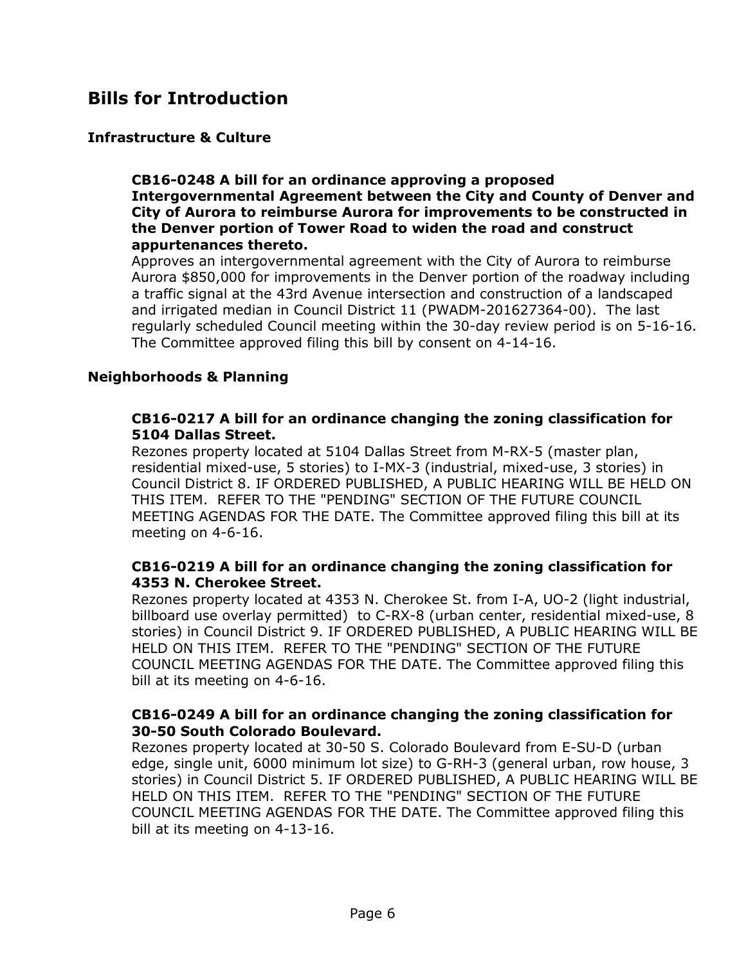## **Bills for Introduction**

### **Infrastructure & Culture**

#### **CB16-0248 A bill for an ordinance approving a proposed Intergovernmental Agreement between the City and County of Denver and City of Aurora to reimburse Aurora for improvements to be constructed in the Denver portion of Tower Road to widen the road and construct appurtenances thereto.**

Approves an intergovernmental agreement with the City of Aurora to reimburse Aurora \$850,000 for improvements in the Denver portion of the roadway including a traffic signal at the 43rd Avenue intersection and construction of a landscaped and irrigated median in Council District 11 (PWADM-201627364-00). The last regularly scheduled Council meeting within the 30-day review period is on 5-16-16. The Committee approved filing this bill by consent on 4-14-16.

### **Neighborhoods & Planning**

#### **CB16-0217 A bill for an ordinance changing the zoning classification for 5104 Dallas Street.**

Rezones property located at 5104 Dallas Street from M-RX-5 (master plan, residential mixed-use, 5 stories) to I-MX-3 (industrial, mixed-use, 3 stories) in Council District 8. IF ORDERED PUBLISHED, A PUBLIC HEARING WILL BE HELD ON THIS ITEM. REFER TO THE "PENDING" SECTION OF THE FUTURE COUNCIL MEETING AGENDAS FOR THE DATE. The Committee approved filing this bill at its meeting on 4-6-16.

#### **CB16-0219 A bill for an ordinance changing the zoning classification for 4353 N. Cherokee Street.**

Rezones property located at 4353 N. Cherokee St. from I-A, UO-2 (light industrial, billboard use overlay permitted) to C-RX-8 (urban center, residential mixed-use, 8 stories) in Council District 9. IF ORDERED PUBLISHED, A PUBLIC HEARING WILL BE HELD ON THIS ITEM. REFER TO THE "PENDING" SECTION OF THE FUTURE COUNCIL MEETING AGENDAS FOR THE DATE. The Committee approved filing this bill at its meeting on 4-6-16.

#### **CB16-0249 A bill for an ordinance changing the zoning classification for 30-50 South Colorado Boulevard.**

Rezones property located at 30-50 S. Colorado Boulevard from E-SU-D (urban edge, single unit, 6000 minimum lot size) to G-RH-3 (general urban, row house, 3 stories) in Council District 5. IF ORDERED PUBLISHED, A PUBLIC HEARING WILL BE HELD ON THIS ITEM. REFER TO THE "PENDING" SECTION OF THE FUTURE COUNCIL MEETING AGENDAS FOR THE DATE. The Committee approved filing this bill at its meeting on 4-13-16.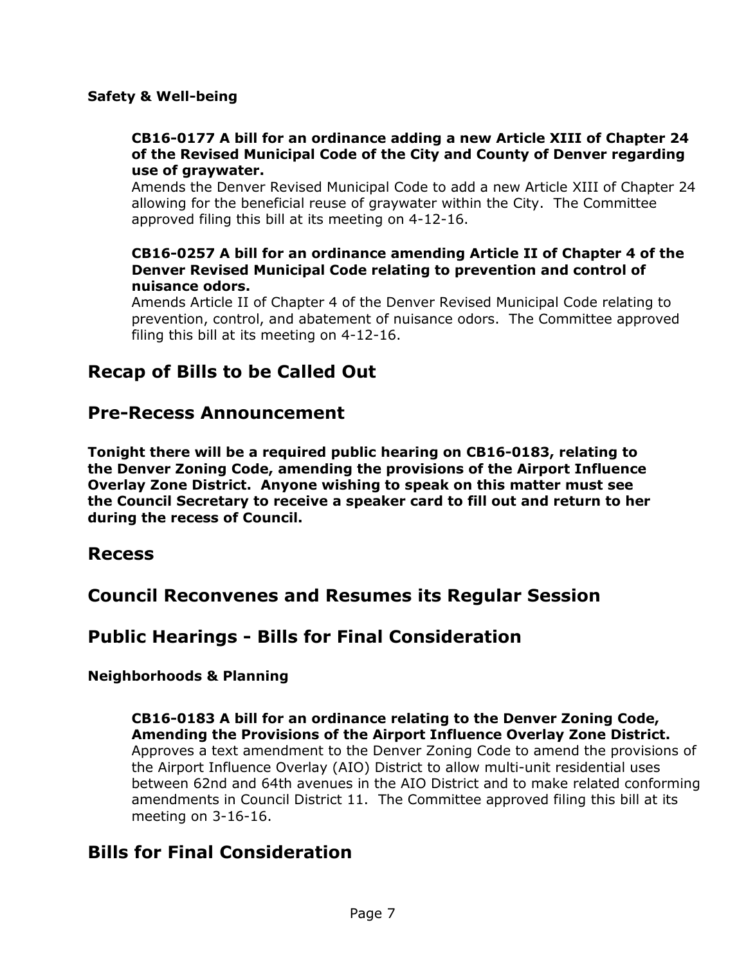#### **Safety & Well-being**

#### **CB16-0177 A bill for an ordinance adding a new Article XIII of Chapter 24 of the Revised Municipal Code of the City and County of Denver regarding use of graywater.**

Amends the Denver Revised Municipal Code to add a new Article XIII of Chapter 24 allowing for the beneficial reuse of graywater within the City. The Committee approved filing this bill at its meeting on 4-12-16.

#### **CB16-0257 A bill for an ordinance amending Article II of Chapter 4 of the Denver Revised Municipal Code relating to prevention and control of nuisance odors.**

Amends Article II of Chapter 4 of the Denver Revised Municipal Code relating to prevention, control, and abatement of nuisance odors. The Committee approved filing this bill at its meeting on 4-12-16.

## **Recap of Bills to be Called Out**

### **Pre-Recess Announcement**

**Tonight there will be a required public hearing on CB16-0183, relating to the Denver Zoning Code, amending the provisions of the Airport Influence Overlay Zone District. Anyone wishing to speak on this matter must see the Council Secretary to receive a speaker card to fill out and return to her during the recess of Council.**

### **Recess**

### **Council Reconvenes and Resumes its Regular Session**

### **Public Hearings - Bills for Final Consideration**

### **Neighborhoods & Planning**

**CB16-0183 A bill for an ordinance relating to the Denver Zoning Code, Amending the Provisions of the Airport Influence Overlay Zone District.** Approves a text amendment to the Denver Zoning Code to amend the provisions of the Airport Influence Overlay (AIO) District to allow multi-unit residential uses between 62nd and 64th avenues in the AIO District and to make related conforming amendments in Council District 11. The Committee approved filing this bill at its meeting on 3-16-16.

### **Bills for Final Consideration**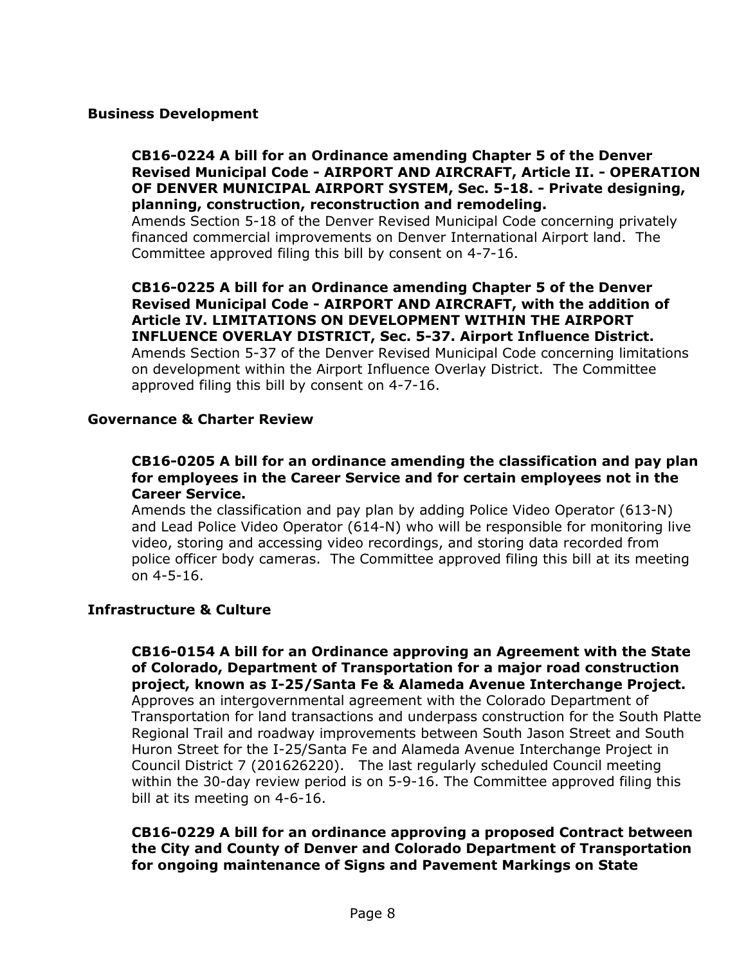#### **Business Development**

**CB16-0224 A bill for an Ordinance amending Chapter 5 of the Denver Revised Municipal Code - AIRPORT AND AIRCRAFT, Article II. - OPERATION OF DENVER MUNICIPAL AIRPORT SYSTEM, Sec. 5-18. - Private designing, planning, construction, reconstruction and remodeling.**

Amends Section 5-18 of the Denver Revised Municipal Code concerning privately financed commercial improvements on Denver International Airport land. The Committee approved filing this bill by consent on 4-7-16.

**CB16-0225 A bill for an Ordinance amending Chapter 5 of the Denver Revised Municipal Code - AIRPORT AND AIRCRAFT, with the addition of Article IV. LIMITATIONS ON DEVELOPMENT WITHIN THE AIRPORT INFLUENCE OVERLAY DISTRICT, Sec. 5-37. Airport Influence District.** Amends Section 5-37 of the Denver Revised Municipal Code concerning limitations on development within the Airport Influence Overlay District. The Committee approved filing this bill by consent on 4-7-16.

#### **Governance & Charter Review**

#### **CB16-0205 A bill for an ordinance amending the classification and pay plan for employees in the Career Service and for certain employees not in the Career Service.**

Amends the classification and pay plan by adding Police Video Operator (613-N) and Lead Police Video Operator (614-N) who will be responsible for monitoring live video, storing and accessing video recordings, and storing data recorded from police officer body cameras. The Committee approved filing this bill at its meeting on 4-5-16.

### **Infrastructure & Culture**

**CB16-0154 A bill for an Ordinance approving an Agreement with the State of Colorado, Department of Transportation for a major road construction project, known as I-25/Santa Fe & Alameda Avenue Interchange Project.** Approves an intergovernmental agreement with the Colorado Department of Transportation for land transactions and underpass construction for the South Platte Regional Trail and roadway improvements between South Jason Street and South Huron Street for the I-25/Santa Fe and Alameda Avenue Interchange Project in Council District 7 (201626220). The last regularly scheduled Council meeting within the 30-day review period is on 5-9-16. The Committee approved filing this bill at its meeting on 4-6-16.

#### **CB16-0229 A bill for an ordinance approving a proposed Contract between the City and County of Denver and Colorado Department of Transportation for ongoing maintenance of Signs and Pavement Markings on State**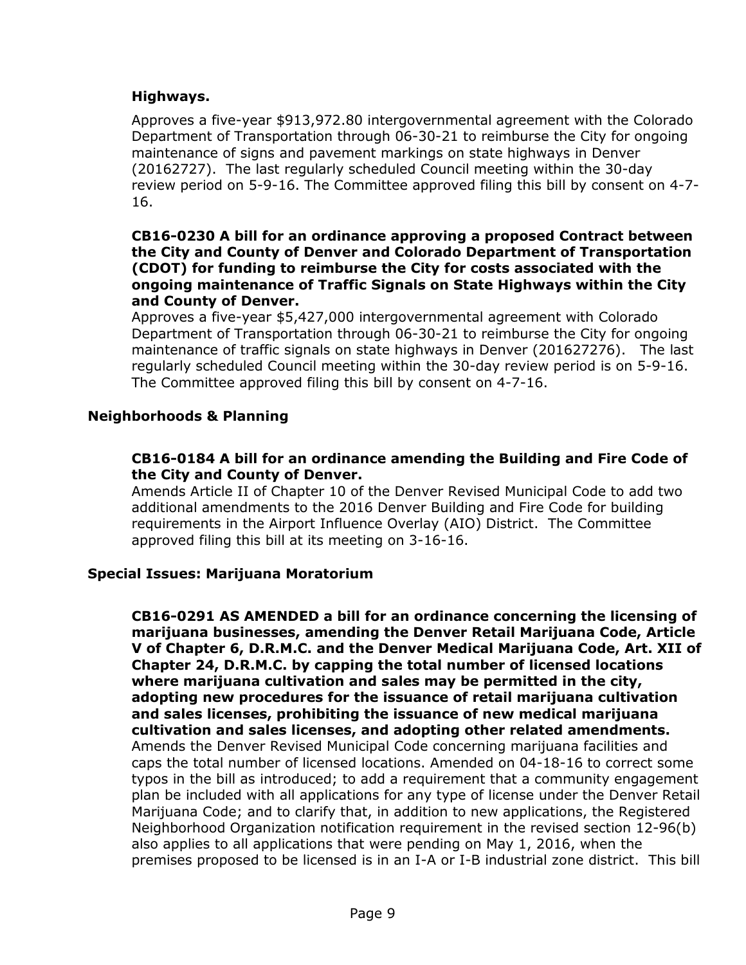### **Highways.**

Approves a five-year \$913,972.80 intergovernmental agreement with the Colorado Department of Transportation through 06-30-21 to reimburse the City for ongoing maintenance of signs and pavement markings on state highways in Denver (20162727). The last regularly scheduled Council meeting within the 30-day review period on 5-9-16. The Committee approved filing this bill by consent on 4-7- 16.

#### **CB16-0230 A bill for an ordinance approving a proposed Contract between the City and County of Denver and Colorado Department of Transportation (CDOT) for funding to reimburse the City for costs associated with the ongoing maintenance of Traffic Signals on State Highways within the City and County of Denver.**

Approves a five-year \$5,427,000 intergovernmental agreement with Colorado Department of Transportation through 06-30-21 to reimburse the City for ongoing maintenance of traffic signals on state highways in Denver (201627276). The last regularly scheduled Council meeting within the 30-day review period is on 5-9-16. The Committee approved filing this bill by consent on 4-7-16.

#### **Neighborhoods & Planning**

#### **CB16-0184 A bill for an ordinance amending the Building and Fire Code of the City and County of Denver.**

Amends Article II of Chapter 10 of the Denver Revised Municipal Code to add two additional amendments to the 2016 Denver Building and Fire Code for building requirements in the Airport Influence Overlay (AIO) District. The Committee approved filing this bill at its meeting on 3-16-16.

#### **Special Issues: Marijuana Moratorium**

**CB16-0291 AS AMENDED a bill for an ordinance concerning the licensing of marijuana businesses, amending the Denver Retail Marijuana Code, Article V of Chapter 6, D.R.M.C. and the Denver Medical Marijuana Code, Art. XII of Chapter 24, D.R.M.C. by capping the total number of licensed locations where marijuana cultivation and sales may be permitted in the city, adopting new procedures for the issuance of retail marijuana cultivation and sales licenses, prohibiting the issuance of new medical marijuana cultivation and sales licenses, and adopting other related amendments.** Amends the Denver Revised Municipal Code concerning marijuana facilities and caps the total number of licensed locations. Amended on 04-18-16 to correct some typos in the bill as introduced; to add a requirement that a community engagement plan be included with all applications for any type of license under the Denver Retail Marijuana Code; and to clarify that, in addition to new applications, the Registered Neighborhood Organization notification requirement in the revised section 12-96(b) also applies to all applications that were pending on May 1, 2016, when the premises proposed to be licensed is in an I-A or I-B industrial zone district. This bill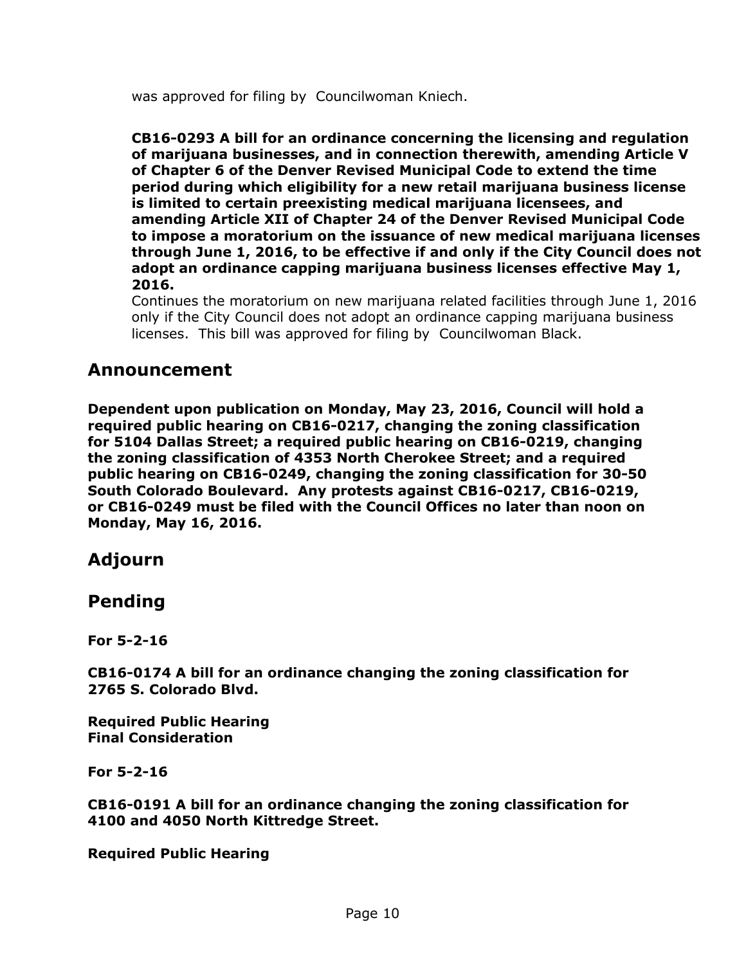was approved for filing by Councilwoman Kniech.

**CB16-0293 A bill for an ordinance concerning the licensing and regulation of marijuana businesses, and in connection therewith, amending Article V of Chapter 6 of the Denver Revised Municipal Code to extend the time period during which eligibility for a new retail marijuana business license is limited to certain preexisting medical marijuana licensees, and amending Article XII of Chapter 24 of the Denver Revised Municipal Code to impose a moratorium on the issuance of new medical marijuana licenses through June 1, 2016, to be effective if and only if the City Council does not adopt an ordinance capping marijuana business licenses effective May 1, 2016.**

Continues the moratorium on new marijuana related facilities through June 1, 2016 only if the City Council does not adopt an ordinance capping marijuana business licenses. This bill was approved for filing by Councilwoman Black.

## **Announcement**

**Dependent upon publication on Monday, May 23, 2016, Council will hold a required public hearing on CB16-0217, changing the zoning classification for 5104 Dallas Street; a required public hearing on CB16-0219, changing the zoning classification of 4353 North Cherokee Street; and a required public hearing on CB16-0249, changing the zoning classification for 30-50 South Colorado Boulevard. Any protests against CB16-0217, CB16-0219, or CB16-0249 must be filed with the Council Offices no later than noon on Monday, May 16, 2016.**

## **Adjourn**

## **Pending**

**For 5-2-16**

**CB16-0174 A bill for an ordinance changing the zoning classification for 2765 S. Colorado Blvd.** 

**Required Public Hearing Final Consideration** 

**For 5-2-16**

**CB16-0191 A bill for an ordinance changing the zoning classification for 4100 and 4050 North Kittredge Street.** 

**Required Public Hearing**